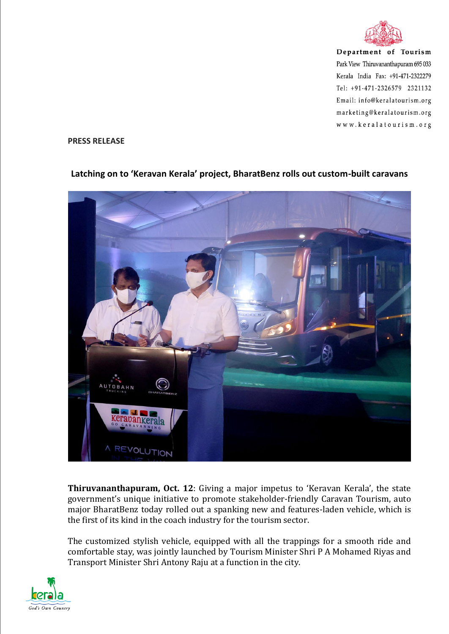

Department of Tourism Park View Thiruvananthapuram 695 033 Kerala India Fax: +91-471-2322279 Tel: +91-471-2326579 2321132 Email: info@keralatourism.org marketing@keralatourism.org www.keralatourism.org

## **PRESS RELEASE**



## **Latching on to 'Keravan Kerala' project, BharatBenz rolls out custom-built caravans**

**Thiruvananthapuram, Oct. 12**: Giving a major impetus to 'Keravan Kerala', the state government's unique initiative to promote stakeholder-friendly Caravan Tourism, auto major BharatBenz today rolled out a spanking new and features-laden vehicle, which is the first of its kind in the coach industry for the tourism sector.

The customized stylish vehicle, equipped with all the trappings for a smooth ride and comfortable stay, was jointly launched by Tourism Minister Shri P A Mohamed Riyas and Transport Minister Shri Antony Raju at a function in the city.

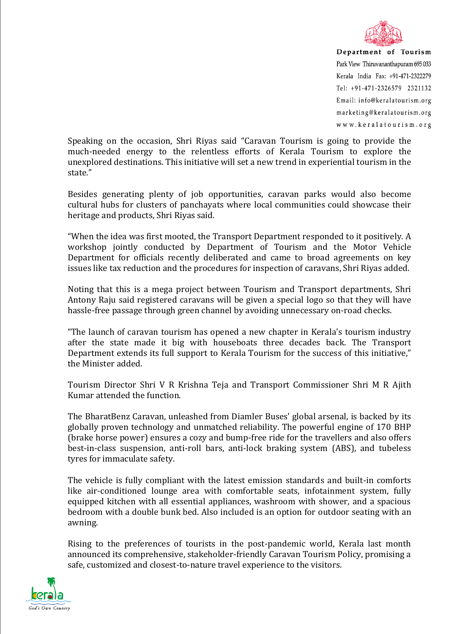

Department of Tourism Park View Thiruvananthapuram 695 033 Kerala India Fax: +91-471-2322279 Tel: +91-471-2326579 2321132 Email: info@keralatourism.org marketing@keralatourism.org www.keralatourism.org

Speaking on the occasion, Shri Riyas said "Caravan Tourism is going to provide the much-needed energy to the relentless efforts of Kerala Tourism to explore the unexplored destinations. This initiative will set a new trend in experiential tourism in the state."

Besides generating plenty of job opportunities, caravan parks would also become cultural hubs for clusters of panchayats where local communities could showcase their heritage and products, Shri Riyas said.

"When the idea was first mooted, the Transport Department responded to it positively. A workshop jointly conducted by Department of Tourism and the Motor Vehicle Department for officials recently deliberated and came to broad agreements on key issues like tax reduction and the procedures for inspection of caravans, Shri Riyas added.

Noting that this is a mega project between Tourism and Transport departments, Shri Antony Raju said registered caravans will be given a special logo so that they will have hassle-free passage through green channel by avoiding unnecessary on-road checks.

"The launch of caravan tourism has opened a new chapter in Kerala's tourism industry after the state made it big with houseboats three decades back. The Transport Department extends its full support to Kerala Tourism for the success of this initiative," the Minister added.

Tourism Director Shri V R Krishna Teja and Transport Commissioner Shri M R Ajith Kumar attended the function.

The BharatBenz Caravan, unleashed from Diamler Buses' global arsenal, is backed by its globally proven technology and unmatched reliability. The powerful engine of 170 BHP (brake horse power) ensures a cozy and bump-free ride for the travellers and also offers best-in-class suspension, anti-roll bars, anti-lock braking system (ABS), and tubeless tyres for immaculate safety.

The vehicle is fully compliant with the latest emission standards and built-in comforts like air-conditioned lounge area with comfortable seats, infotainment system, fully equipped kitchen with all essential appliances, washroom with shower, and a spacious bedroom with a double bunk bed. Also included is an option for outdoor seating with an awning.

Rising to the preferences of tourists in the post-pandemic world, Kerala last month announced its comprehensive, stakeholder-friendly Caravan Tourism Policy, promising a safe, customized and closest-to-nature travel experience to the visitors.